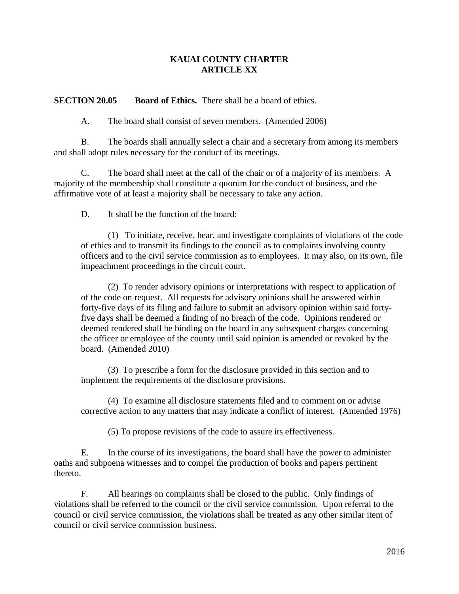## **KAUAI COUNTY CHARTER ARTICLE XX**

**SECTION 20.05 Board of Ethics.** There shall be a board of ethics.

A. The board shall consist of seven members. (Amended 2006)

B. The boards shall annually select a chair and a secretary from among its members and shall adopt rules necessary for the conduct of its meetings.

C. The board shall meet at the call of the chair or of a majority of its members. A majority of the membership shall constitute a quorum for the conduct of business, and the affirmative vote of at least a majority shall be necessary to take any action.

D. It shall be the function of the board:

(1) To initiate, receive, hear, and investigate complaints of violations of the code of ethics and to transmit its findings to the council as to complaints involving county officers and to the civil service commission as to employees. It may also, on its own, file impeachment proceedings in the circuit court.

(2) To render advisory opinions or interpretations with respect to application of of the code on request. All requests for advisory opinions shall be answered within forty-five days of its filing and failure to submit an advisory opinion within said fortyfive days shall be deemed a finding of no breach of the code. Opinions rendered or deemed rendered shall be binding on the board in any subsequent charges concerning the officer or employee of the county until said opinion is amended or revoked by the board. (Amended 2010)

(3) To prescribe a form for the disclosure provided in this section and to implement the requirements of the disclosure provisions.

(4) To examine all disclosure statements filed and to comment on or advise corrective action to any matters that may indicate a conflict of interest. (Amended 1976)

(5) To propose revisions of the code to assure its effectiveness.

E. In the course of its investigations, the board shall have the power to administer oaths and subpoena witnesses and to compel the production of books and papers pertinent thereto.

F. All hearings on complaints shall be closed to the public. Only findings of violations shall be referred to the council or the civil service commission. Upon referral to the council or civil service commission, the violations shall be treated as any other similar item of council or civil service commission business.